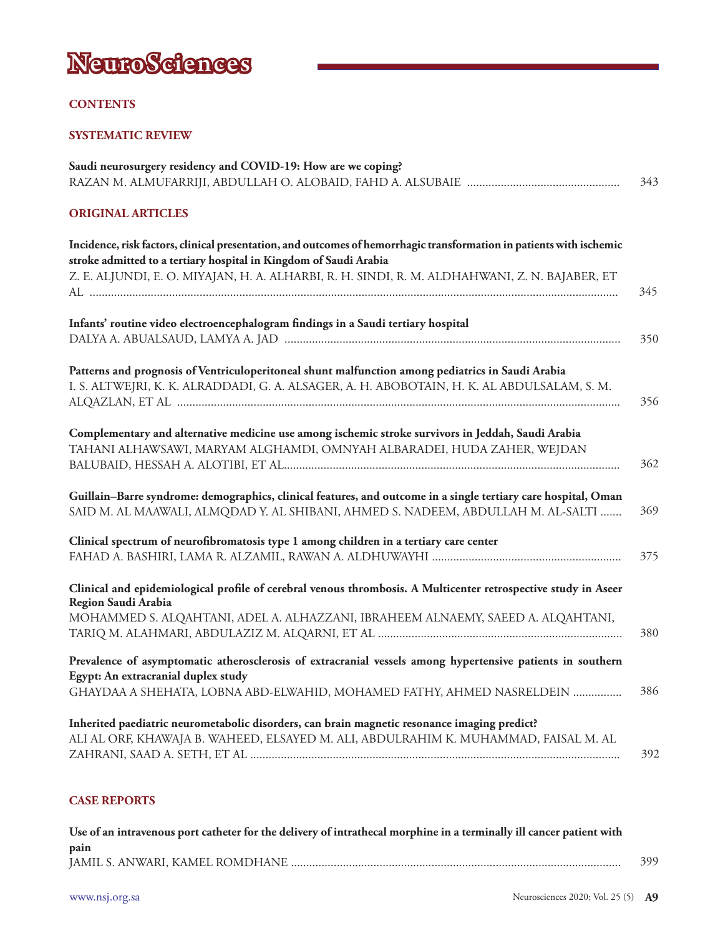

## **CONTENTS**

## **SYSTEMATIC REVIEW**

| Saudi neurosurgery residency and COVID-19: How are we coping?                                                                                                                                      |     |
|----------------------------------------------------------------------------------------------------------------------------------------------------------------------------------------------------|-----|
|                                                                                                                                                                                                    | 343 |
| <b>ORIGINAL ARTICLES</b>                                                                                                                                                                           |     |
| Incidence, risk factors, clinical presentation, and outcomes of hemorrhagic transformation in patients with ischemic<br>stroke admitted to a tertiary hospital in Kingdom of Saudi Arabia          |     |
| Z. E. ALJUNDI, E. O. MIYAJAN, H. A. ALHARBI, R. H. SINDI, R. M. ALDHAHWANI, Z. N. BAJABER, ET                                                                                                      | 345 |
| Infants' routine video electroencephalogram findings in a Saudi tertiary hospital                                                                                                                  | 350 |
| Patterns and prognosis of Ventriculoperitoneal shunt malfunction among pediatrics in Saudi Arabia<br>I. S. ALTWEJRI, K. K. ALRADDADI, G. A. ALSAGER, A. H. ABOBOTAIN, H. K. AL ABDULSALAM, S. M.   | 356 |
| Complementary and alternative medicine use among ischemic stroke survivors in Jeddah, Saudi Arabia<br>TAHANI ALHAWSAWI, MARYAM ALGHAMDI, OMNYAH ALBARADEI, HUDA ZAHER, WEJDAN                      | 362 |
| Guillain-Barre syndrome: demographics, clinical features, and outcome in a single tertiary care hospital, Oman<br>SAID M. AL MAAWALI, ALMQDAD Y. AL SHIBANI, AHMED S. NADEEM, ABDULLAH M. AL-SALTI | 369 |
| Clinical spectrum of neurofibromatosis type 1 among children in a tertiary care center                                                                                                             | 375 |
| Clinical and epidemiological profile of cerebral venous thrombosis. A Multicenter retrospective study in Aseer<br>Region Saudi Arabia                                                              |     |
| MOHAMMED S. ALQAHTANI, ADEL A. ALHAZZANI, IBRAHEEM ALNAEMY, SAEED A. ALQAHTANI,                                                                                                                    | 380 |
| Prevalence of asymptomatic atherosclerosis of extracranial vessels among hypertensive patients in southern<br>Egypt: An extracranial duplex study                                                  |     |
| GHAYDAA A SHEHATA, LOBNA ABD-ELWAHID, MOHAMED FATHY, AHMED NASRELDEIN                                                                                                                              | 386 |
| Inherited paediatric neurometabolic disorders, can brain magnetic resonance imaging predict?<br>ALI AL ORF, KHAWAJA B. WAHEED, ELSAYED M. ALI, ABDULRAHIM K. MUHAMMAD, FAISAL M. AL                | 392 |
|                                                                                                                                                                                                    |     |

## **CASE REPORTS**

| Use of an intravenous port catheter for the delivery of intrathecal morphine in a terminally ill cancer patient with |     |
|----------------------------------------------------------------------------------------------------------------------|-----|
| pain                                                                                                                 |     |
|                                                                                                                      | 399 |